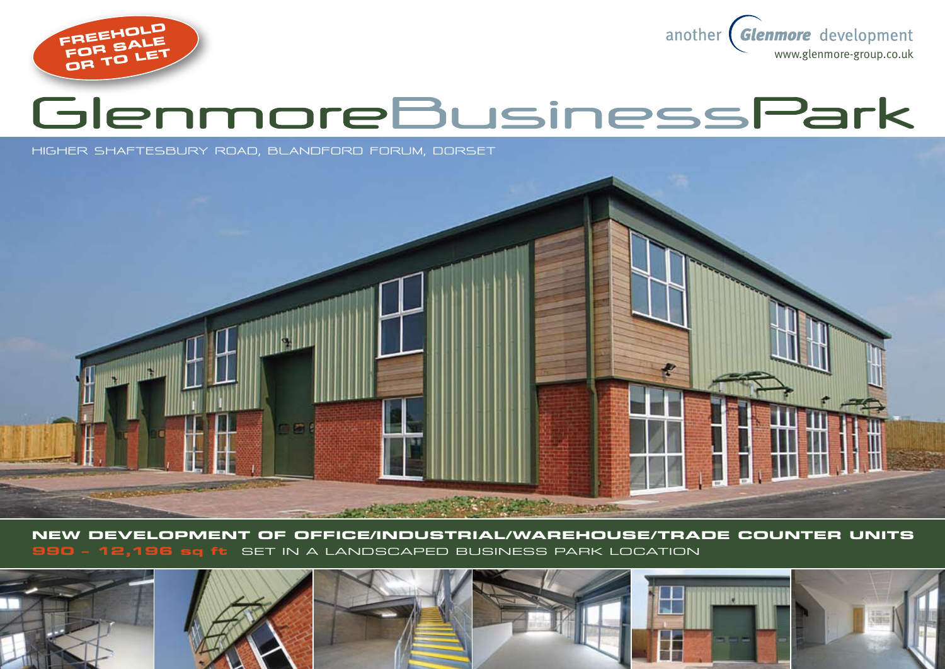



# GlenmoreBusinessPark

**higher shaftesbury road, BLANDFORD FORUM, DORSET**



**New development of OFFICE/industrial/warehouse/Trade counter units 990 – 12,196 sq ft** set in a landscaped business park location